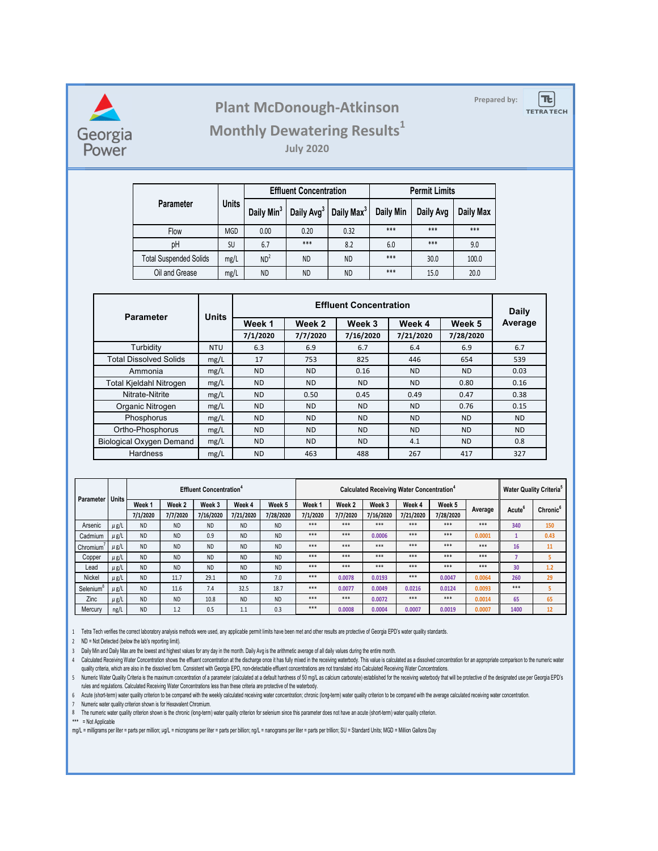

## **Prepared by: Plant McDonough-Atkinson**

∣ऋ **TETRA TECH** 

### **Monthly Dewatering Results<sup>1</sup> July 2020**

|                               | <b>Units</b> |                        | <b>Effluent Concentration</b> |                        | <b>Permit Limits</b> |           |           |  |
|-------------------------------|--------------|------------------------|-------------------------------|------------------------|----------------------|-----------|-----------|--|
| Parameter                     |              | Daily Min <sup>3</sup> | Daily Avg <sup>3</sup>        | Daily Max <sup>3</sup> | Daily Min            | Daily Avg | Daily Max |  |
| Flow                          | <b>MGD</b>   | 0.00                   | 0.20                          | 0.32                   | ***                  | ***       | ***       |  |
| рH                            | SU           | 6.7                    | ***                           | 8.2                    | 6.0                  | ***       | 9.0       |  |
| <b>Total Suspended Solids</b> | mg/L         | ND <sup>2</sup>        | <b>ND</b>                     | <b>ND</b>              | ***                  | 30.0      | 100.0     |  |
| Oil and Grease                | mg/L         | <b>ND</b>              | <b>ND</b>                     | <b>ND</b>              | ***                  | 15.0      | 20.0      |  |

| <b>Parameter</b>                | <b>Units</b> |           | Daily            |           |           |           |         |
|---------------------------------|--------------|-----------|------------------|-----------|-----------|-----------|---------|
|                                 |              | Week 1    | Week 2<br>Week 3 |           | Week 4    | Week 5    | Average |
|                                 |              | 7/1/2020  | 7/7/2020         | 7/16/2020 | 7/21/2020 | 7/28/2020 |         |
| Turbidity                       | <b>NTU</b>   | 6.3       | 6.9              | 6.7       | 6.4       | 6.9       | 6.7     |
| <b>Total Dissolved Solids</b>   | mg/L         | 17        | 753              | 825       | 446       | 654       | 539     |
| Ammonia                         | mg/L         | <b>ND</b> | <b>ND</b>        | 0.16      | <b>ND</b> | <b>ND</b> | 0.03    |
| Total Kjeldahl Nitrogen         | mg/L         | <b>ND</b> | <b>ND</b>        | ND.       | ND.       | 0.80      | 0.16    |
| Nitrate-Nitrite                 | mg/L         | <b>ND</b> | 0.50             | 0.45      | 0.49      | 0.47      | 0.38    |
| Organic Nitrogen                | mg/L         | <b>ND</b> | <b>ND</b>        | <b>ND</b> | <b>ND</b> | 0.76      | 0.15    |
| Phosphorus                      | mg/L         | <b>ND</b> | <b>ND</b>        | ND.       | <b>ND</b> | <b>ND</b> | ND.     |
| Ortho-Phosphorus<br>mg/L        |              | <b>ND</b> | <b>ND</b>        | ND.       | <b>ND</b> | <b>ND</b> | ND.     |
| <b>Biological Oxygen Demand</b> | mg/L         | <b>ND</b> | <b>ND</b>        | <b>ND</b> | 4.1       | <b>ND</b> | 0.8     |
| Hardness                        | mg/L         | <b>ND</b> | 463              | 488       | 267       | 417       | 327     |

| Units<br>Parameter    |      | <b>Effluent Concentration</b> |                   |           |           |           | <b>Calculated Receiving Water Concentration<sup>4</sup></b> |          |           |           |           | <b>Water Quality Criteria</b> <sup>5</sup> |                    |                      |
|-----------------------|------|-------------------------------|-------------------|-----------|-----------|-----------|-------------------------------------------------------------|----------|-----------|-----------|-----------|--------------------------------------------|--------------------|----------------------|
|                       |      | Week <sub>1</sub>             | Week <sub>2</sub> | Week 3    | Week 4    | Week 5    | Week 1                                                      | Week 2   | Week 3    | Week 4    | Week 5    |                                            | Acute <sup>6</sup> | Chronic <sup>6</sup> |
|                       |      | 7/1/2020                      | 7/7/2020          | 7/16/2020 | 7/21/2020 | 7/28/2020 | 7/1/2020                                                    | 7/7/2020 | 7/16/2020 | 7/21/2020 | 7/28/2020 | Average                                    |                    |                      |
| Arsenic               | μg/L | <b>ND</b>                     | <b>ND</b>         | <b>ND</b> | <b>ND</b> | <b>ND</b> | ***                                                         | ***      | $* * *$   | ***       | ***       | ***                                        | 340                | 150                  |
| Cadmium               | μg/L | <b>ND</b>                     | <b>ND</b>         | 0.9       | <b>ND</b> | <b>ND</b> | ***                                                         | ***      | 0.0006    | ***       | ***       | 0.0001                                     |                    | 0.43                 |
| Chromium <sup>®</sup> | μg/L | <b>ND</b>                     | <b>ND</b>         | <b>ND</b> | <b>ND</b> | <b>ND</b> | ***                                                         | ***      | $* * *$   | ***       | ***       | ***                                        | 16                 | 11                   |
| Copper                | μg/L | <b>ND</b>                     | <b>ND</b>         | <b>ND</b> | <b>ND</b> | <b>ND</b> | ***                                                         | ***      | $* * *$   | ***       | ***       | ***                                        |                    | 5                    |
| Lead                  | μg/L | <b>ND</b>                     | <b>ND</b>         | <b>ND</b> | <b>ND</b> | <b>ND</b> | ***                                                         | ***      | $* * *$   | ***       | ***       | ***                                        | 30                 | 1.2                  |
| Nickel                | μg/L | <b>ND</b>                     | 11.7              | 29.1      | <b>ND</b> | 7.0       | $***$                                                       | 0.0078   | 0.0193    | $***$     | 0.0047    | 0.0064                                     | 260                | 29                   |
| Selenium <sup>®</sup> | μg/L | <b>ND</b>                     | 11.6              | 7.4       | 32.5      | 18.7      | ***                                                         | 0.0077   | 0.0049    | 0.0216    | 0.0124    | 0.0093                                     | ***                |                      |
| Zinc                  | μg/L | <b>ND</b>                     | <b>ND</b>         | 10.8      | <b>ND</b> | <b>ND</b> | ***                                                         | ***      | 0.0072    | ***       | $***$     | 0.0014                                     | 65                 | 65                   |
| Mercury               | ng/L | <b>ND</b>                     | 1.2               | 0.5       | 1.1       | 0.3       | ***                                                         | 0.0008   | 0.0004    | 0.0007    | 0.0019    | 0.0007                                     | 1400               | 12                   |

1 Tetra Tech verifies the correct laboratory analysis methods were used, any applicable permit limits have been met and other results are protective of Georgia EPD's water quality standards.

2 ND = Not Detected (below the lab's reporting limit).

3 Daily Min and Daily Max are the lowest and highest values for any day in the month. Daily Avg is the arithmetic average of all daily values during the entire month.

4 Calculated Receiving Water Concentration shows the effluent concentration at the discharge once it has fully mixed in the receiving waterbody. This value is calculated as a dissolved concentration for an appropriate comp quality criteria, which are also in the dissolved form. Consistent with Georgia EPD, non-detectable effluent concentrations are not translated into Calculated Receiving Water Concentrations.

> Numenc Water Quality Criteria is the maximum concentration of a parameter (calculated at a default hardness of 50 mg/L as calcium carbonate) established for the receiving waterbody that will be protective of the designat rules and regulations. Calculated Receiving Water Concentrations less than these criteria are protective of the waterbody.

6 Acute (short-term) water quality critenon to be compared with the weekly calculated receiving water concentration; chronic (long-term) water quality criterion to be compared with the average calculated receiving water co

7 Numeric water quality criterion shown is for Hexavalent Chromium.

8 The numeric water quality criterion shown is the chronic (long-term) water quality criterion for selenium since this parameter does not have an acute (short-term) water quality criterion.

\*\*\* = Not Applicable

mg/L = milligrams per liter = parts per million; µg/L = micrograms per liter = parts per billion; ng/L = nanograms per liter = parts per trillion; SU = Standard Units; MGD = Million Gallons Day